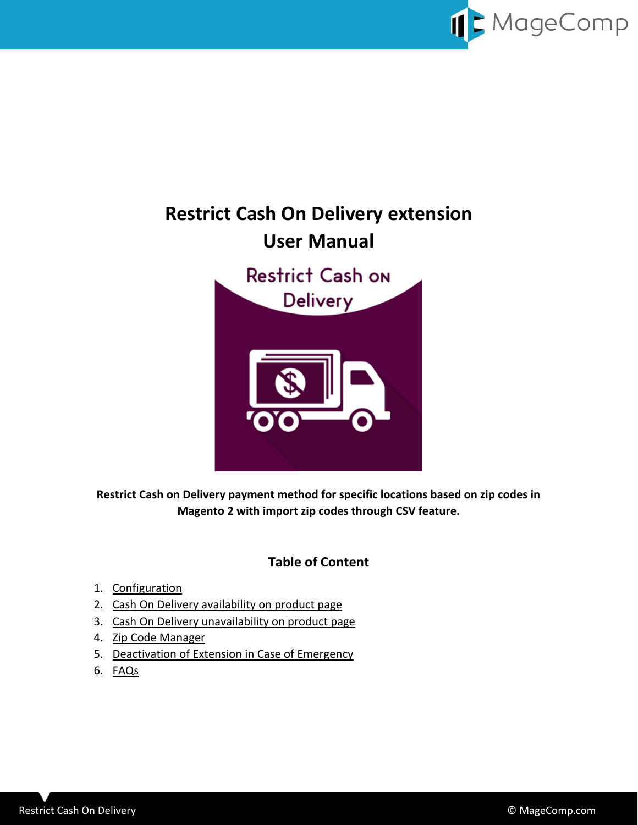

# **Restrict Cash On Delivery extension User Manual**



**Restrict Cash on Delivery payment method for specific locations based on zip codes in Magento 2 with import zip codes through CSV feature.**

## **Table of Content**

- 1. [Configuration](#page-1-0)
- 2. [Cash On Delivery availability on product page](#page-2-0)
- 3. [Cash On Delivery unavailability on product page](#page-2-1)
- 4. [Zip Code Manager](#page-3-0)
- 5. [Deactivation of Extension in Case of Emergency](#page-4-0)
- 6. FAQs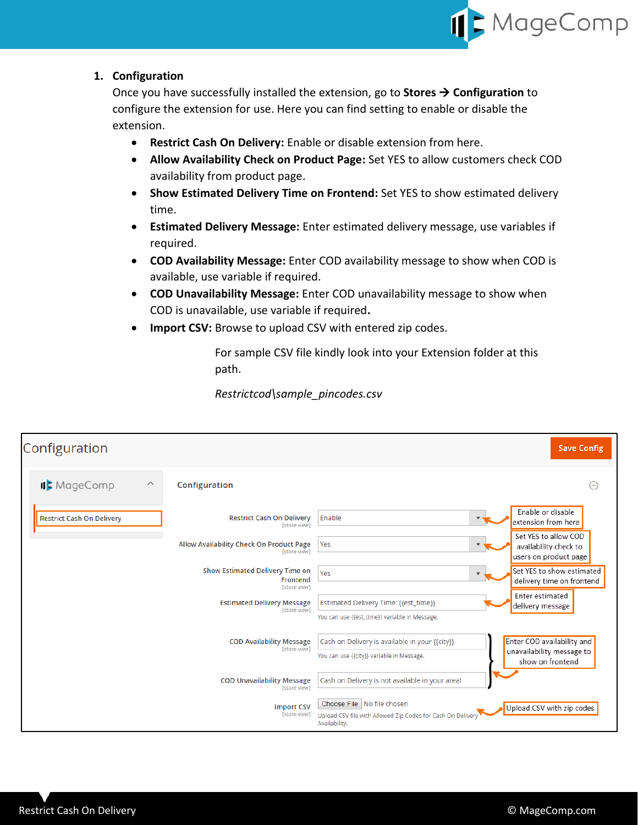

#### <span id="page-1-0"></span>**1. Configuration**

Once you have successfully installed the extension, go to **Stores** → **Configuration** to configure the extension for use. Here you can find setting to enable or disable the extension.

- **Restrict Cash On Delivery:** Enable or disable extension from here.
- **Allow Availability Check on Product Page:** Set YES to allow customers check COD availability from product page.
- **Show Estimated Delivery Time on Frontend:** Set YES to show estimated delivery time.
- **Estimated Delivery Message:** Enter estimated delivery message, use variables if required.
- **COD Availability Message:** Enter COD availability message to show when COD is available, use variable if required.
- **COD Unavailability Message:** Enter COD unavailability message to show when COD is unavailable, use variable if required**.**
- Import CSV: Browse to upload CSV with entered zip codes.

For sample CSV file kindly look into your Extension folder at this path.



*Restrictcod\sample\_pincodes.csv*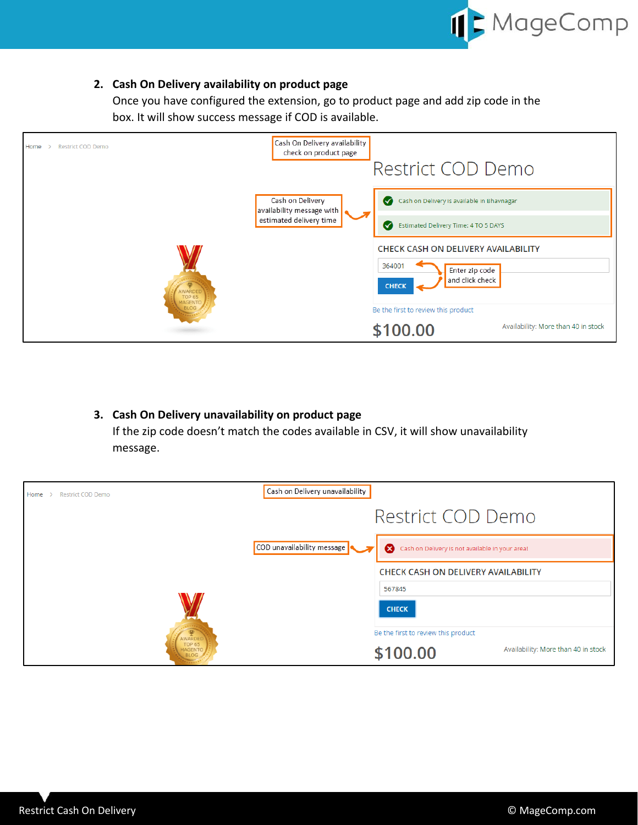

#### <span id="page-2-0"></span>**2. Cash On Delivery availability on product page**

Once you have configured the extension, go to product page and add zip code in the box. It will show success message if COD is available.



<span id="page-2-1"></span>**3. Cash On Delivery unavailability on product page** If the zip code doesn't match the codes available in CSV, it will show unavailability message.

| Home<br><b>Restrict COD Demo</b>               | Cash on Delivery unavailability                                               |
|------------------------------------------------|-------------------------------------------------------------------------------|
|                                                | Restrict COD Demo                                                             |
|                                                | COD unavailability message<br>Cash on Delivery is not available in your areal |
|                                                | <b>CHECK CASH ON DELIVERY AVAILABILITY</b>                                    |
|                                                | 567845                                                                        |
|                                                | <b>CHECK</b>                                                                  |
| AWARDED                                        | Be the first to review this product                                           |
| <b>TOP 65</b><br><b>MAGENTO</b><br><b>BLOG</b> | Availability: More than 40 in stock<br>\$100.00                               |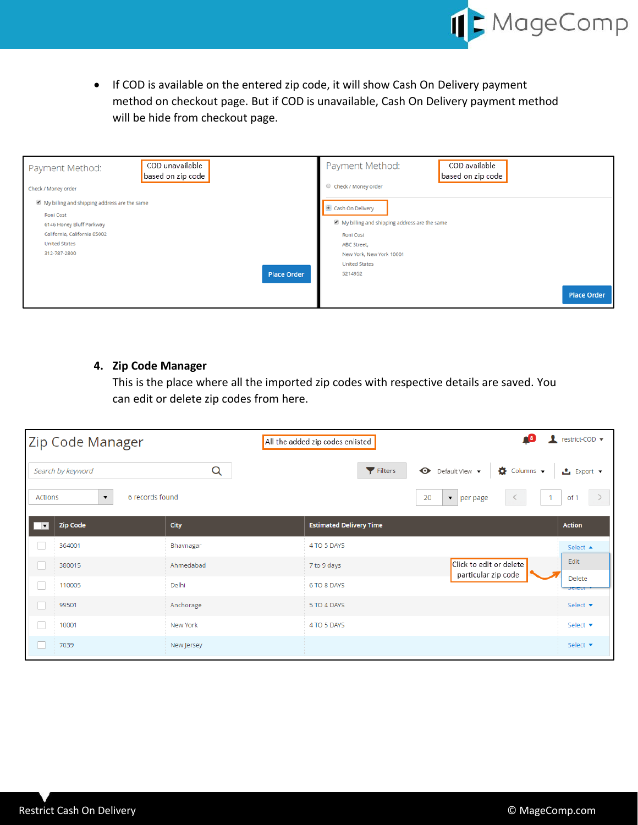

• If COD is available on the entered zip code, it will show Cash On Delivery payment method on checkout page. But if COD is unavailable, Cash On Delivery payment method will be hide from checkout page.

| COD unavailable<br>Payment Method:<br>based on zip code | COD available<br>Payment Method:<br>based on zip code |
|---------------------------------------------------------|-------------------------------------------------------|
| Check / Money order                                     | Check / Money order                                   |
| My billing and shipping address are the same            | Cash On Delivery                                      |
| Roni Cost                                               |                                                       |
| 6146 Honey Bluff Parkway                                | My billing and shipping address are the same          |
| California, California 85002                            | <b>Roni Cost</b>                                      |
| <b>United States</b>                                    | <b>ABC Street,</b>                                    |
| 312-787-2800                                            | New York, New York 10001                              |
|                                                         | <b>United States</b>                                  |
| <b>Place Order</b>                                      | 5214952                                               |
|                                                         | <b>Place Order</b>                                    |

### <span id="page-3-0"></span>**4. Zip Code Manager**

This is the place where all the imported zip codes with respective details are saved. You can edit or delete zip codes from here.

|                          | Zip Code Manager                        |            | All the added zip codes enlisted |                                                | restrict-COD ▼          |
|--------------------------|-----------------------------------------|------------|----------------------------------|------------------------------------------------|-------------------------|
|                          | Search by keyword                       | Q          | Filters<br>$\bullet$             | $\bullet$ Columns $\bullet$<br>Default View ▼  | <b>≛</b> Export ▼       |
| Actions                  | 6 records found<br>$\blacktriangledown$ |            | 20                               | $\blacktriangleright$   per page               | of 1                    |
| $\overline{\phantom{a}}$ | <b>Zip Code</b>                         | City       | <b>Estimated Delivery Time</b>   |                                                | <b>Action</b>           |
|                          | 364001                                  | Bhavnagar  | 4 TO 5 DAYS                      |                                                | Select ▲                |
|                          | 380015                                  | Ahmedabad  | 7 to 9 days                      | Click to edit or delete<br>particular zip code | Edit                    |
|                          | 110005                                  | Delhi      | 6 TO 8 DAYS                      |                                                | <b>Delete</b><br>pereut |
|                          | 99501                                   | Anchorage  | 5 TO 4 DAYS                      |                                                | Select ▼                |
|                          | 10001                                   | New York   | 4 TO 5 DAYS                      |                                                | Select ▼                |
|                          | 7039                                    | New Jersey |                                  |                                                | Select ▼                |